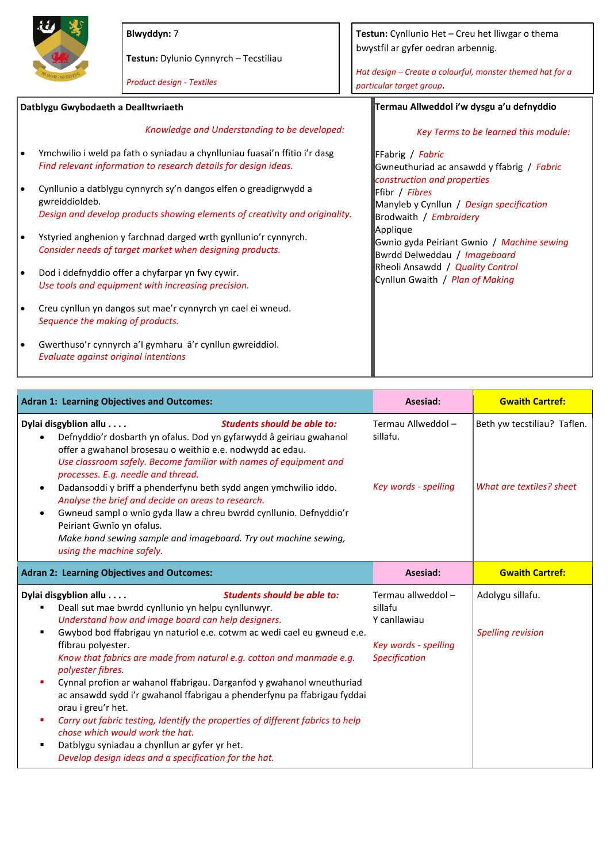

**Blwyddyn:** 7

**Testun:** Dylunio Cynnyrch – Tecstiliau

|                                     |                                      | <b>Product design - Textiles</b>                                                                                                              | Hat design - Create a colourful, monster themed hat for a<br>particular target group.           |  |
|-------------------------------------|--------------------------------------|-----------------------------------------------------------------------------------------------------------------------------------------------|-------------------------------------------------------------------------------------------------|--|
| Datblygu Gwybodaeth a Dealltwriaeth |                                      |                                                                                                                                               | Termau Allweddol i'w dysgu a'u defnyddio                                                        |  |
|                                     |                                      | Knowledge and Understanding to be developed:                                                                                                  | Key Terms to be learned this module:                                                            |  |
| $\bullet$                           |                                      | Ymchwilio i weld pa fath o syniadau a chynlluniau fuasai'n ffitio i'r dasg<br>Find relevant information to research details for design ideas. | FFabrig / Fabric<br>Gwneuthuriad ac ansawdd y ffabrig / Fabric                                  |  |
| $\bullet$                           | gwreiddioldeb.                       | Cynllunio a datblygu cynnyrch sy'n dangos elfen o greadigrwydd a                                                                              | construction and properties<br><b>Fibr</b> / Fibres<br>Manyleb y Cynllun / Design specification |  |
|                                     |                                      | Design and develop products showing elements of creativity and originality.                                                                   | Brodwaith / Embroidery                                                                          |  |
| $\bullet$                           |                                      | Ystyried anghenion y farchnad darged wrth gynllunio'r cynnyrch.<br>Consider needs of target market when designing products.                   | Applique<br>Gwnio gyda Peiriant Gwnio / Machine sewing<br>Bwrdd Delweddau / Imageboard          |  |
| $\bullet$                           |                                      | Dod i ddefnyddio offer a chyfarpar yn fwy cywir.<br>Use tools and equipment with increasing precision.                                        | Rheoli Ansawdd / Quality Control<br>Cynllun Gwaith / Plan of Making                             |  |
| $\bullet$                           | Sequence the making of products.     | Creu cynllun yn dangos sut mae'r cynnyrch yn cael ei wneud.                                                                                   |                                                                                                 |  |
| $\bullet$                           | Evaluate against original intentions | Gwerthuso'r cynnyrch a'l gymharu â'r cynllun gwreiddiol.                                                                                      |                                                                                                 |  |

**Testun:** Cynllunio Het – Creu het lliwgar o thema

bwystfil ar gyfer oedran arbennig.

| <b>Adran 1: Learning Objectives and Outcomes:</b>                                                                                                                                                                                                                                                                                                                                                                                                                                                                                                                                                                                                                                                                                                                        | Asesiad:                                                                                      | <b>Gwaith Cartref:</b>                                  |
|--------------------------------------------------------------------------------------------------------------------------------------------------------------------------------------------------------------------------------------------------------------------------------------------------------------------------------------------------------------------------------------------------------------------------------------------------------------------------------------------------------------------------------------------------------------------------------------------------------------------------------------------------------------------------------------------------------------------------------------------------------------------------|-----------------------------------------------------------------------------------------------|---------------------------------------------------------|
| Dylai disgyblion allu<br><b>Students should be able to:</b><br>Defnyddio'r dosbarth yn ofalus. Dod yn gyfarwydd â geiriau gwahanol<br>offer a gwahanol brosesau o weithio e.e. nodwydd ac edau.<br>Use classroom safely. Become familiar with names of equipment and<br>processes. E.g. needle and thread.<br>Dadansoddi y brïff a phenderfynu beth sydd angen ymchwilio iddo.<br>Analyse the brief and decide on areas to research.<br>Gwneud sampl o wnïo gyda llaw a chreu bwrdd cynllunio. Defnyddio'r<br>Peiriant Gwnïo yn ofalus.<br>Make hand sewing sample and imageboard. Try out machine sewing,<br>using the machine safely.                                                                                                                                  | Termau Allweddol -<br>sillafu.<br>Key words - spelling                                        | Beth yw tecstiliau? Taflen.<br>What are textiles? sheet |
| <b>Adran 2: Learning Objectives and Outcomes:</b>                                                                                                                                                                                                                                                                                                                                                                                                                                                                                                                                                                                                                                                                                                                        | Asesiad:                                                                                      | <b>Gwaith Cartref:</b>                                  |
| Dylai disgyblion allu<br>Students should be able to:<br>Deall sut mae bwrdd cynllunio yn helpu cynllunwyr.<br>Understand how and image board can help designers.<br>Gwybod bod ffabrigau yn naturiol e.e. cotwm ac wedi cael eu gwneud e.e.<br>ffibrau polyester.<br>Know that fabrics are made from natural e.g. cotton and manmade e.g.<br>polyester fibres.<br>Cynnal profion ar wahanol ffabrigau. Darganfod y gwahanol wneuthuriad<br>ac ansawdd sydd i'r gwahanol ffabrigau a phenderfynu pa ffabrigau fyddai<br>orau i greu'r het.<br>Carry out fabric testing, Identify the properties of different fabrics to help<br>chose which would work the hat.<br>Datblygu syniadau a chynllun ar gyfer yr het.<br>Develop design ideas and a specification for the hat. | Termau allweddol -<br>sillafu<br>Y canllawiau<br>Key words - spelling<br><b>Specification</b> | Adolygu sillafu.<br><b>Spelling revision</b>            |